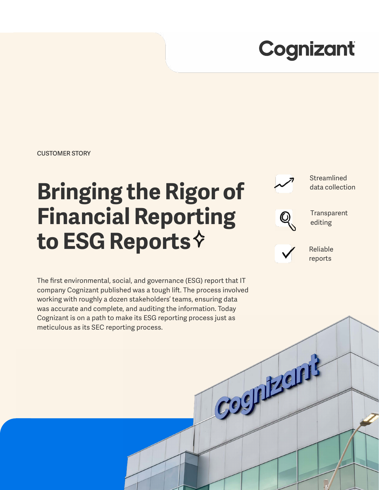# Cognizant

**CUSTOMER STORY**

# **Bringing the Rigor of Financial Reporting to ESG Reports**

Streamlined data collection



**Transparent** editing



Cognizants

Reliable reports

The first environmental, social, and governance (ESG) report that IT company Cognizant published was a tough lift. The process involved working with roughly a dozen stakeholders' teams, ensuring data was accurate and complete, and auditing the information. Today Cognizant is on a path to make its ESG reporting process just as meticulous as its SEC reporting process.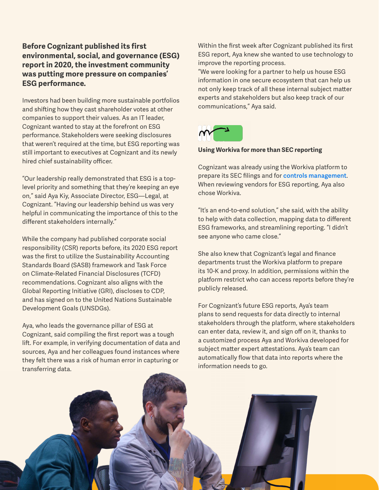## **Before Cognizant published its first environmental, social, and governance (ESG) report in 2020, the investment community was putting more pressure on companies' ESG performance.**

Investors had been building more sustainable portfolios and shifting how they cast shareholder votes at other companies to support their values. As an IT leader, Cognizant wanted to stay at the forefront on ESG performance. Stakeholders were seeking disclosures that weren't required at the time, but ESG reporting was still important to executives at Cognizant and its newly hired chief sustainability officer.

"Our leadership really demonstrated that ESG is a toplevel priority and something that they're keeping an eye on," said Aya Kiy, Associate Director, ESG—Legal, at Cognizant. "Having our leadership behind us was very helpful in communicating the importance of this to the different stakeholders internally."

While the company had published corporate social responsibility (CSR) reports before, its 2020 ESG report was the first to utilize the Sustainability Accounting Standards Board (SASB) framework and Task Force on Climate-Related Financial Disclosures (TCFD) recommendations. Cognizant also aligns with the Global Reporting Initiative (GRI), discloses to CDP, and has signed on to the United Nations Sustainable Development Goals (UNSDGs).

Aya, who leads the governance pillar of ESG at Cognizant, said compiling the first report was a tough lift. For example, in verifying documentation of data and sources, Aya and her colleagues found instances where they felt there was a risk of human error in capturing or transferring data.

Within the first week after Cognizant published its first ESG report, Aya knew she wanted to use technology to improve the reporting process.

"We were looking for a partner to help us house ESG information in one secure ecosystem that can help us not only keep track of all these internal subject matter experts and stakeholders but also keep track of our communications," Aya said.



### **Using Workiva for more than SEC reporting**

Cognizant was already using the Workiva platform to prepare its SEC filings and for **[controls management](https://www.workiva.com/solutions/internal-controls-management)**. When reviewing vendors for ESG reporting, Aya also chose Workiva.

"It's an end-to-end solution," she said, with the ability to help with data collection, mapping data to different ESG frameworks, and streamlining reporting. "I didn't see anyone who came close."

She also knew that Cognizant's legal and finance departments trust the Workiva platform to prepare its 10-K and proxy. In addition, permissions within the platform restrict who can access reports before they're publicly released.

For Cognizant's future ESG reports, Aya's team plans to send requests for data directly to internal stakeholders through the platform, where stakeholders can enter data, review it, and sign off on it, thanks to a customized process Aya and Workiva developed for subject matter expert attestations. Aya's team can automatically flow that data into reports where the information needs to go.